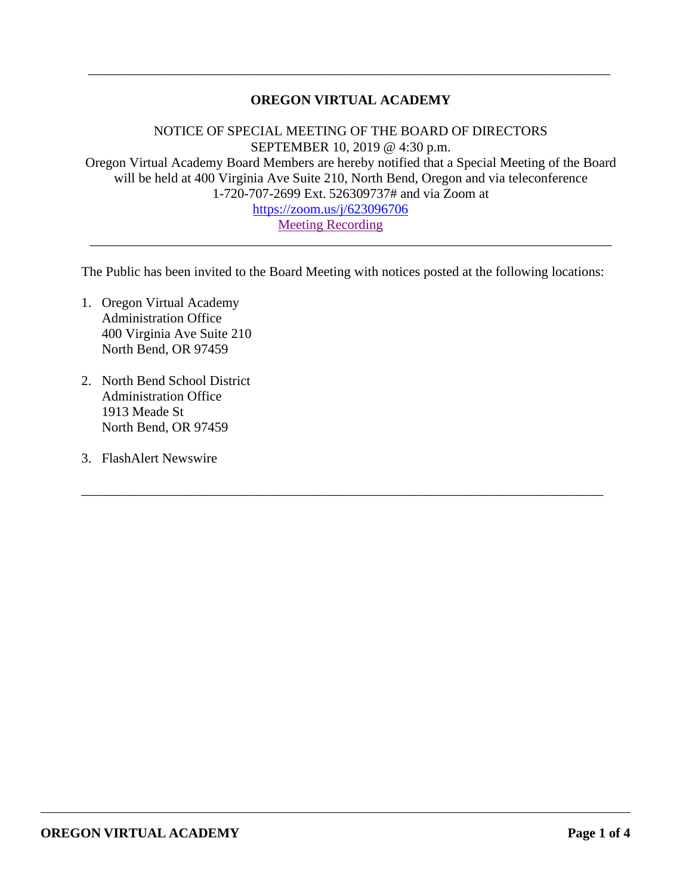# **OREGON VIRTUAL ACADEMY**

\_\_\_\_\_\_\_\_\_\_\_\_\_\_\_\_\_\_\_\_\_\_\_\_\_\_\_\_\_\_\_\_\_\_\_\_\_\_\_\_\_\_\_\_\_\_\_\_\_\_\_\_\_\_\_\_\_\_\_\_\_\_\_\_\_\_\_\_\_\_\_\_\_\_\_\_\_

NOTICE OF SPECIAL MEETING OF THE BOARD OF DIRECTORS SEPTEMBER 10, 2019 @ 4:30 p.m. Oregon Virtual Academy Board Members are hereby notified that a Special Meeting of the Board will be held at 400 Virginia Ave Suite 210, North Bend, Oregon and via teleconference 1-720-707-2699 Ext. 526309737# and via Zoom at <https://zoom.us/j/623096706>

[Meeting Recording](https://k12inc-my.sharepoint.com/personal/mecaldwell_oregonva_org/Documents/Documents/Secretary%20to%20the%20Board/Board%20Meetings/19-20/September%202019/Special%20Meeting%209-10-19/Meeting%20Recording%209-9-19.mp4)

The Public has been invited to the Board Meeting with notices posted at the following locations:

\_\_\_\_\_\_\_\_\_\_\_\_\_\_\_\_\_\_\_\_\_\_\_\_\_\_\_\_\_\_\_\_\_\_\_\_\_\_\_\_\_\_\_\_\_\_\_\_\_\_\_\_\_\_\_\_\_\_\_\_\_\_\_\_\_\_\_\_\_\_\_\_\_\_\_\_\_

\_\_\_\_\_\_\_\_\_\_\_\_\_\_\_\_\_\_\_\_\_\_\_\_\_\_\_\_\_\_\_\_\_\_\_\_\_\_\_\_\_\_\_\_\_\_\_\_\_\_\_\_\_\_\_\_\_\_\_\_\_\_\_\_\_\_\_\_\_\_\_\_\_\_\_\_\_

- 1. Oregon Virtual Academy Administration Office 400 Virginia Ave Suite 210 North Bend, OR 97459
- 2. North Bend School District Administration Office 1913 Meade St North Bend, OR 97459
- 3. FlashAlert Newswire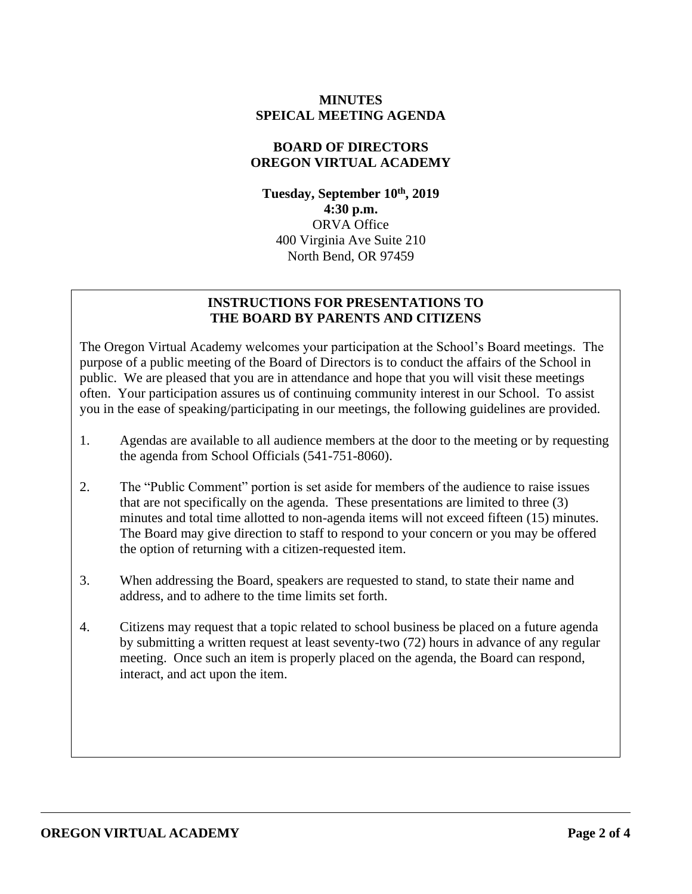### **MINUTES SPEICAL MEETING AGENDA**

#### **BOARD OF DIRECTORS OREGON VIRTUAL ACADEMY**

**Tuesday, September 10th , 2019 4:30 p.m.** ORVA Office 400 Virginia Ave Suite 210 North Bend, OR 97459

### **INSTRUCTIONS FOR PRESENTATIONS TO THE BOARD BY PARENTS AND CITIZENS**

The Oregon Virtual Academy welcomes your participation at the School's Board meetings. The purpose of a public meeting of the Board of Directors is to conduct the affairs of the School in public. We are pleased that you are in attendance and hope that you will visit these meetings often. Your participation assures us of continuing community interest in our School. To assist you in the ease of speaking/participating in our meetings, the following guidelines are provided.

- 1. Agendas are available to all audience members at the door to the meeting or by requesting the agenda from School Officials (541-751-8060).
- 2. The "Public Comment" portion is set aside for members of the audience to raise issues that are not specifically on the agenda. These presentations are limited to three (3) minutes and total time allotted to non-agenda items will not exceed fifteen (15) minutes. The Board may give direction to staff to respond to your concern or you may be offered the option of returning with a citizen-requested item.
- 3. When addressing the Board, speakers are requested to stand, to state their name and address, and to adhere to the time limits set forth.
- 4. Citizens may request that a topic related to school business be placed on a future agenda by submitting a written request at least seventy-two (72) hours in advance of any regular meeting. Once such an item is properly placed on the agenda, the Board can respond, interact, and act upon the item.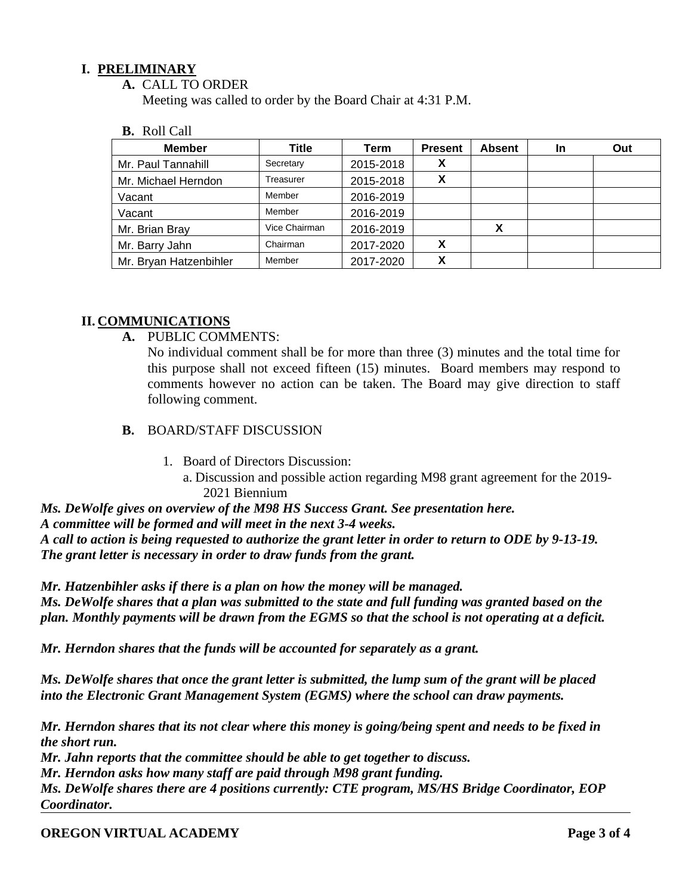## **I. PRELIMINARY**

**A.** CALL TO ORDER

Meeting was called to order by the Board Chair at 4:31 P.M.

|  | <b>B.</b> Roll Call |  |
|--|---------------------|--|
|--|---------------------|--|

| <b>Member</b>          | Title         | Term      | <b>Present</b>            | <b>Absent</b> | In | Out |
|------------------------|---------------|-----------|---------------------------|---------------|----|-----|
| Mr. Paul Tannahill     | Secretary     | 2015-2018 | $\boldsymbol{\mathsf{A}}$ |               |    |     |
| Mr. Michael Herndon    | Treasurer     | 2015-2018 | х                         |               |    |     |
| Vacant                 | Member        | 2016-2019 |                           |               |    |     |
| Vacant                 | Member        | 2016-2019 |                           |               |    |     |
| Mr. Brian Bray         | Vice Chairman | 2016-2019 |                           | X             |    |     |
| Mr. Barry Jahn         | Chairman      | 2017-2020 | x                         |               |    |     |
| Mr. Bryan Hatzenbihler | Member        | 2017-2020 | χ                         |               |    |     |

### **II. COMMUNICATIONS**

**A.** PUBLIC COMMENTS:

No individual comment shall be for more than three (3) minutes and the total time for this purpose shall not exceed fifteen (15) minutes. Board members may respond to comments however no action can be taken. The Board may give direction to staff following comment.

- **B.** BOARD/STAFF DISCUSSION
	- 1. Board of Directors Discussion:

a. Discussion and possible action regarding M98 grant agreement for the 2019- 2021 Biennium

*Ms. DeWolfe gives on overview of the M98 HS Success Grant. See presentation here. A committee will be formed and will meet in the next 3-4 weeks. A call to action is being requested to authorize the grant letter in order to return to ODE by 9-13-19. The grant letter is necessary in order to draw funds from the grant.* 

*Mr. Hatzenbihler asks if there is a plan on how the money will be managed. Ms. DeWolfe shares that a plan was submitted to the state and full funding was granted based on the plan. Monthly payments will be drawn from the EGMS so that the school is not operating at a deficit.*

*Mr. Herndon shares that the funds will be accounted for separately as a grant.* 

*Ms. DeWolfe shares that once the grant letter is submitted, the lump sum of the grant will be placed into the Electronic Grant Management System (EGMS) where the school can draw payments.*

*Mr. Herndon shares that its not clear where this money is going/being spent and needs to be fixed in the short run.* 

*Mr. Jahn reports that the committee should be able to get together to discuss.*

*Mr. Herndon asks how many staff are paid through M98 grant funding.* 

*Ms. DeWolfe shares there are 4 positions currently: CTE program, MS/HS Bridge Coordinator, EOP Coordinator.*

**OREGON VIRTUAL ACADEMY Page 3 of 4**